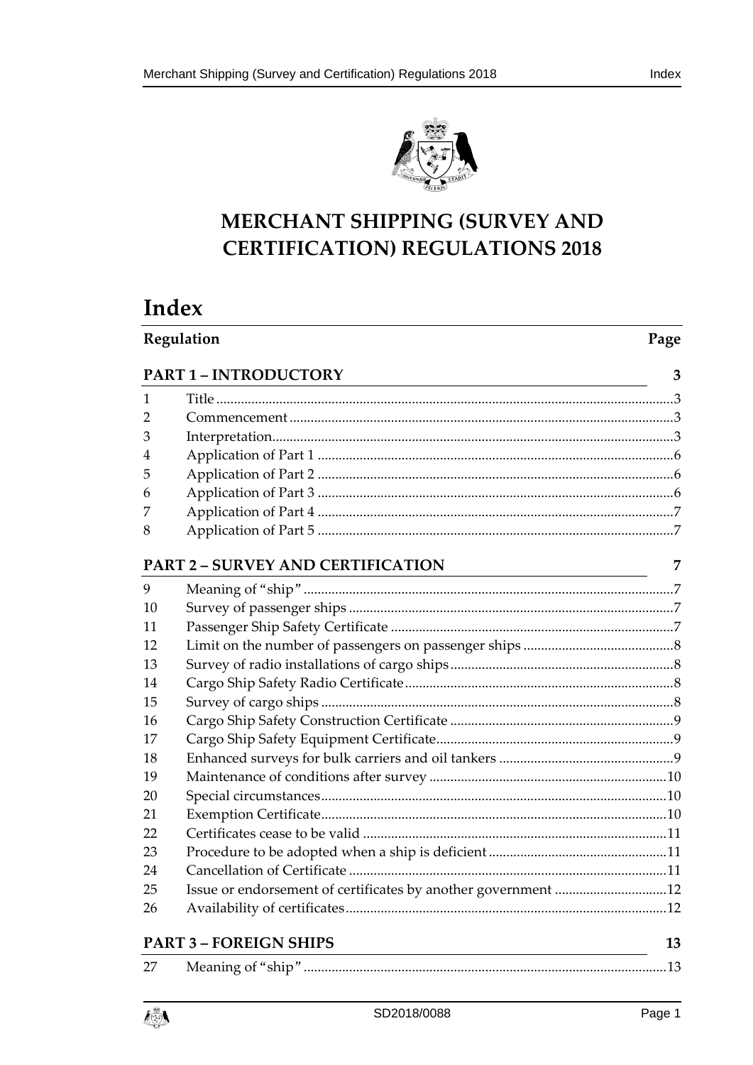

# MERCHANT SHIPPING (SURVEY AND **CERTIFICATION) REGULATIONS 2018**

# Index

| Regulation |                                          | Page |
|------------|------------------------------------------|------|
|            | <b>PART 1-INTRODUCTORY</b>               | 3    |
| 1          |                                          |      |
| 2          |                                          |      |
| 3          |                                          |      |
| 4          |                                          |      |
| 5          |                                          |      |
| 6          |                                          |      |
| 7          |                                          |      |
| 8          |                                          |      |
|            | <b>PART 2 - SURVEY AND CERTIFICATION</b> | 7    |
| 9          |                                          |      |
| 10         |                                          |      |
| 11         |                                          |      |
| 12         |                                          |      |
| 13         |                                          |      |
| 14         |                                          |      |
| 15         |                                          |      |
| 16         |                                          |      |
| 17         |                                          |      |
| 18         |                                          |      |
| 19         |                                          |      |
| 20         |                                          |      |
| 21         |                                          |      |
| 22         |                                          |      |
| 23         |                                          |      |
| 24         |                                          |      |
| 25         |                                          |      |
| 26         |                                          |      |
|            | <b>PART 3 - FOREIGN SHIPS</b>            | 13   |
| 27         |                                          |      |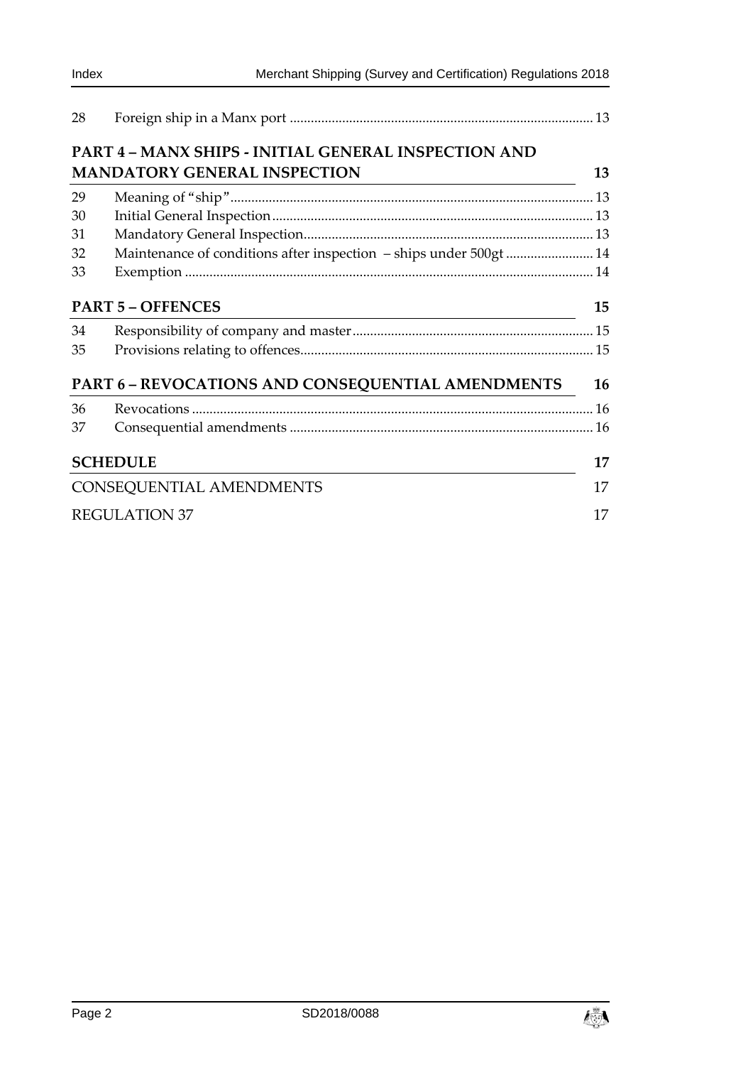| 28 |                                                                    |    |  |
|----|--------------------------------------------------------------------|----|--|
|    | PART 4 - MANX SHIPS - INITIAL GENERAL INSPECTION AND               |    |  |
|    | <b>MANDATORY GENERAL INSPECTION</b>                                | 13 |  |
| 29 |                                                                    |    |  |
| 30 |                                                                    |    |  |
| 31 |                                                                    |    |  |
| 32 | Maintenance of conditions after inspection - ships under 500gt  14 |    |  |
| 33 |                                                                    |    |  |
|    | <b>PART 5 - OFFENCES</b>                                           | 15 |  |
| 34 |                                                                    |    |  |
| 35 |                                                                    |    |  |
|    | PART 6 - REVOCATIONS AND CONSEQUENTIAL AMENDMENTS                  | 16 |  |
| 36 |                                                                    |    |  |
| 37 |                                                                    |    |  |
|    | <b>SCHEDULE</b>                                                    | 17 |  |
|    | CONSEQUENTIAL AMENDMENTS                                           |    |  |
|    | <b>REGULATION 37</b>                                               | 17 |  |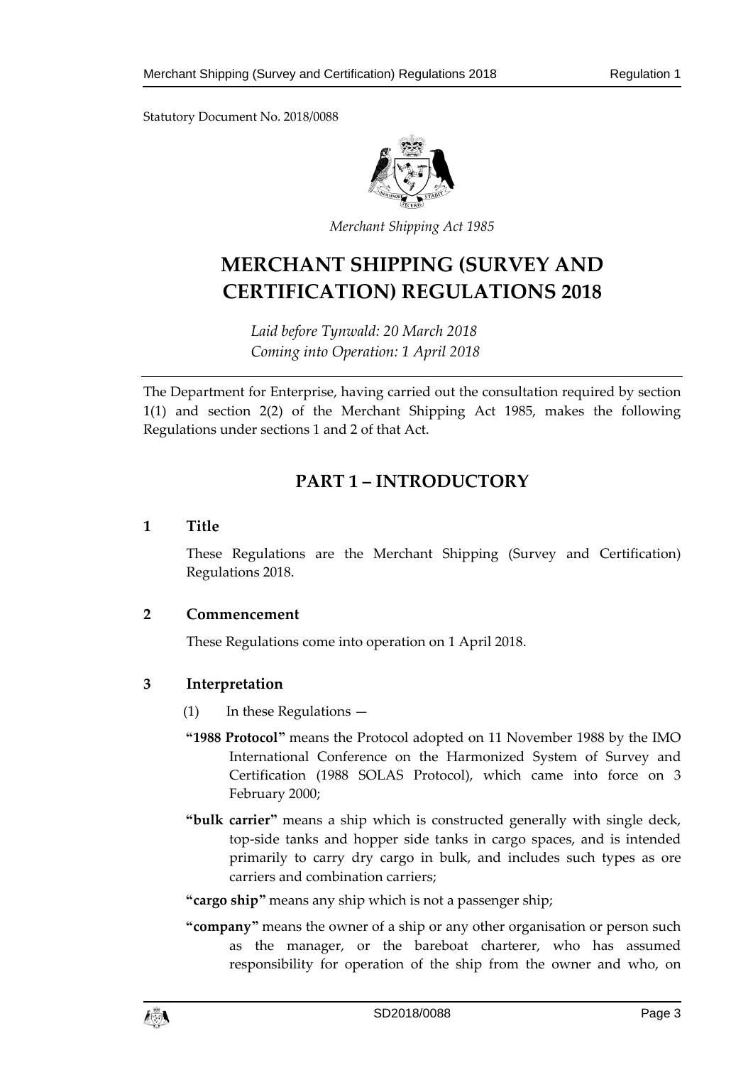Statutory Document No. 2018/0088



*Merchant Shipping Act 1985* 

# **MERCHANT SHIPPING (SURVEY AND CERTIFICATION) REGULATIONS 2018**

*Laid before Tynwald: 20 March 2018 Coming into Operation: 1 April 2018* 

The Department for Enterprise, having carried out the consultation required by section 1(1) and section 2(2) of the Merchant Shipping Act 1985, makes the following Regulations under sections 1 and 2 of that Act.

## **PART 1 – INTRODUCTORY**

#### **1 Title**

These Regulations are the Merchant Shipping (Survey and Certification) Regulations 2018.

### **2 Commencement**

These Regulations come into operation on 1 April 2018.

### **3 Interpretation**

- (1) In these Regulations —
- **"1988 Protocol"** means the Protocol adopted on 11 November 1988 by the IMO International Conference on the Harmonized System of Survey and Certification (1988 SOLAS Protocol), which came into force on 3 February 2000;
- **"bulk carrier"** means a ship which is constructed generally with single deck, top-side tanks and hopper side tanks in cargo spaces, and is intended primarily to carry dry cargo in bulk, and includes such types as ore carriers and combination carriers;

**"cargo ship"** means any ship which is not a passenger ship;

**"company"** means the owner of a ship or any other organisation or person such as the manager, or the bareboat charterer, who has assumed responsibility for operation of the ship from the owner and who, on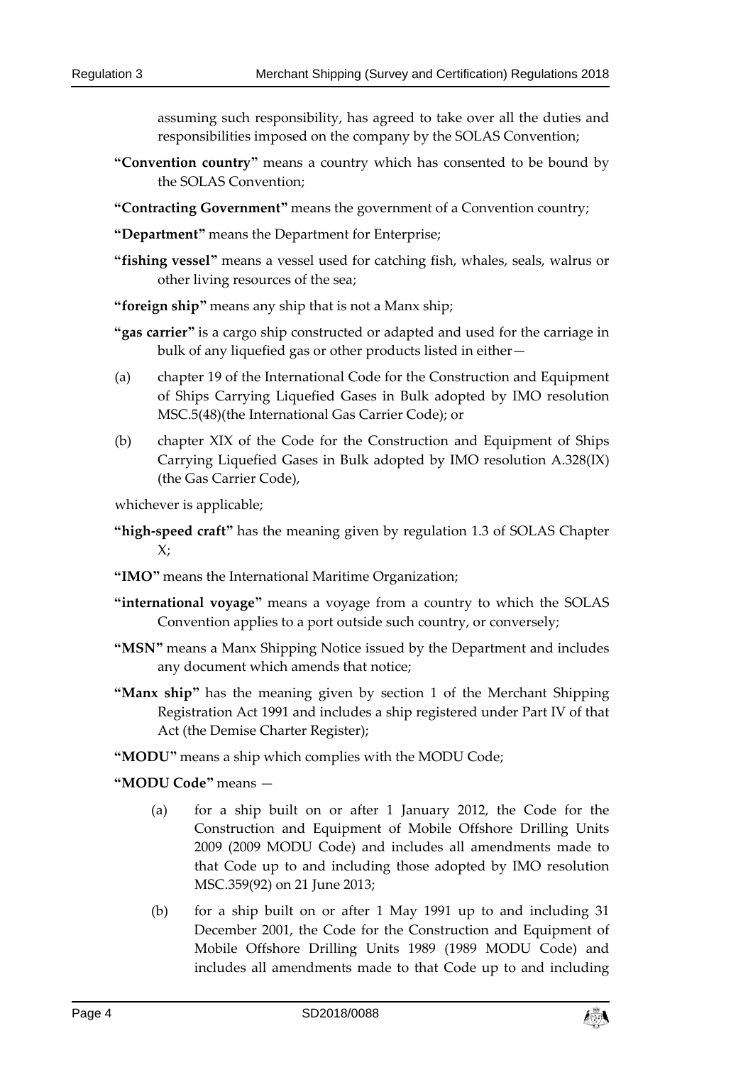assuming such responsibility, has agreed to take over all the duties and responsibilities imposed on the company by the SOLAS Convention;

- **"Convention country"** means a country which has consented to be bound by the SOLAS Convention;
- **"Contracting Government"** means the government of a Convention country;
- **"Department"** means the Department for Enterprise;
- **"fishing vessel"** means a vessel used for catching fish, whales, seals, walrus or other living resources of the sea;
- **"foreign ship"** means any ship that is not a Manx ship;
- **"gas carrier"** is a cargo ship constructed or adapted and used for the carriage in bulk of any liquefied gas or other products listed in either—
- (a) chapter 19 of the International Code for the Construction and Equipment of Ships Carrying Liquefied Gases in Bulk adopted by IMO resolution MSC.5(48)(the International Gas Carrier Code); or
- (b) chapter XIX of the Code for the Construction and Equipment of Ships Carrying Liquefied Gases in Bulk adopted by IMO resolution A.328(IX) (the Gas Carrier Code),

whichever is applicable;

- **"high-speed craft"** has the meaning given by regulation 1.3 of SOLAS Chapter  $X$ :
- **"IMO"** means the International Maritime Organization;
- **"international voyage"** means a voyage from a country to which the SOLAS Convention applies to a port outside such country, or conversely;
- **"MSN"** means a Manx Shipping Notice issued by the Department and includes any document which amends that notice;
- **"Manx ship"** has the meaning given by section 1 of the Merchant Shipping Registration Act 1991 and includes a ship registered under Part IV of that Act (the Demise Charter Register);
- **"MODU"** means a ship which complies with the MODU Code;

**"MODU Code"** means —

- (a) for a ship built on or after 1 January 2012, the Code for the Construction and Equipment of Mobile Offshore Drilling Units 2009 (2009 MODU Code) and includes all amendments made to that Code up to and including those adopted by IMO resolution MSC.359(92) on 21 June 2013;
- (b) for a ship built on or after 1 May 1991 up to and including 31 December 2001, the Code for the Construction and Equipment of Mobile Offshore Drilling Units 1989 (1989 MODU Code) and includes all amendments made to that Code up to and including

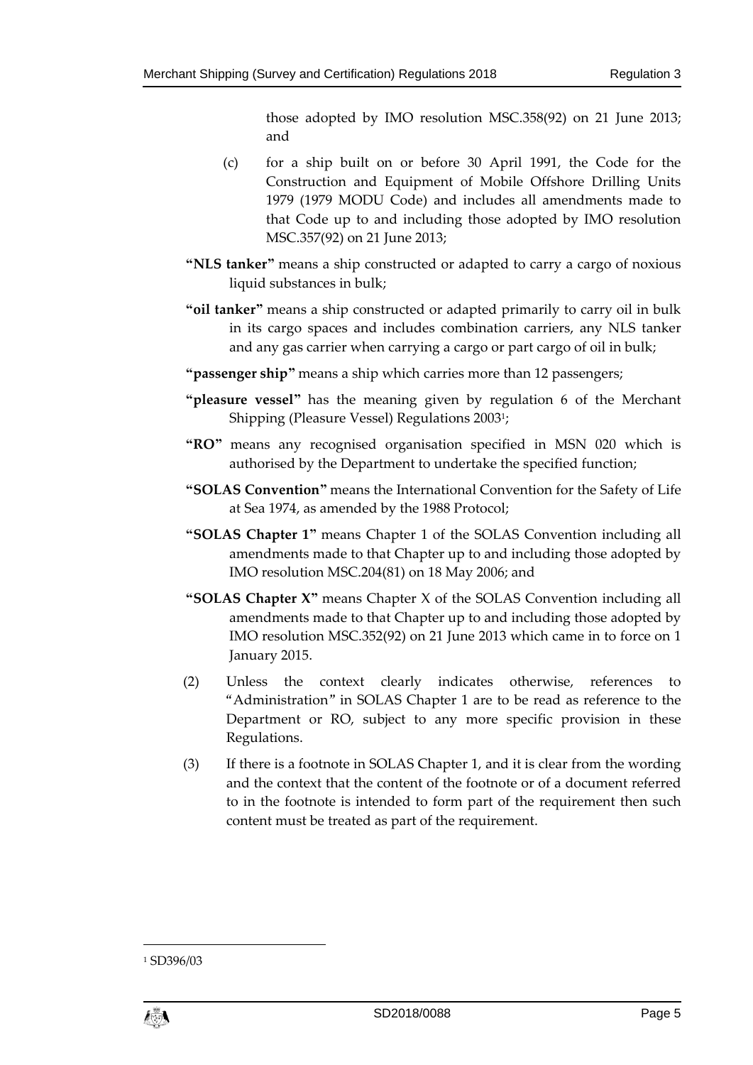those adopted by IMO resolution MSC.358(92) on 21 June 2013; and

- (c) for a ship built on or before 30 April 1991, the Code for the Construction and Equipment of Mobile Offshore Drilling Units 1979 (1979 MODU Code) and includes all amendments made to that Code up to and including those adopted by IMO resolution MSC.357(92) on 21 June 2013;
- **"NLS tanker"** means a ship constructed or adapted to carry a cargo of noxious liquid substances in bulk;
- **"oil tanker"** means a ship constructed or adapted primarily to carry oil in bulk in its cargo spaces and includes combination carriers, any NLS tanker and any gas carrier when carrying a cargo or part cargo of oil in bulk;
- **"passenger ship"** means a ship which carries more than 12 passengers;
- **"pleasure vessel"** has the meaning given by regulation 6 of the Merchant Shipping (Pleasure Vessel) Regulations 20031;
- **"RO"** means any recognised organisation specified in MSN 020 which is authorised by the Department to undertake the specified function;
- **"SOLAS Convention"** means the International Convention for the Safety of Life at Sea 1974, as amended by the 1988 Protocol;
- **"SOLAS Chapter 1"** means Chapter 1 of the SOLAS Convention including all amendments made to that Chapter up to and including those adopted by IMO resolution MSC.204(81) on 18 May 2006; and
- **"SOLAS Chapter X"** means Chapter X of the SOLAS Convention including all amendments made to that Chapter up to and including those adopted by IMO resolution MSC.352(92) on 21 June 2013 which came in to force on 1 January 2015.
- (2) Unless the context clearly indicates otherwise, references to "Administration" in SOLAS Chapter 1 are to be read as reference to the Department or RO, subject to any more specific provision in these Regulations.
- (3) If there is a footnote in SOLAS Chapter 1, and it is clear from the wording and the context that the content of the footnote or of a document referred to in the footnote is intended to form part of the requirement then such content must be treated as part of the requirement.

<sup>1</sup> SD396/03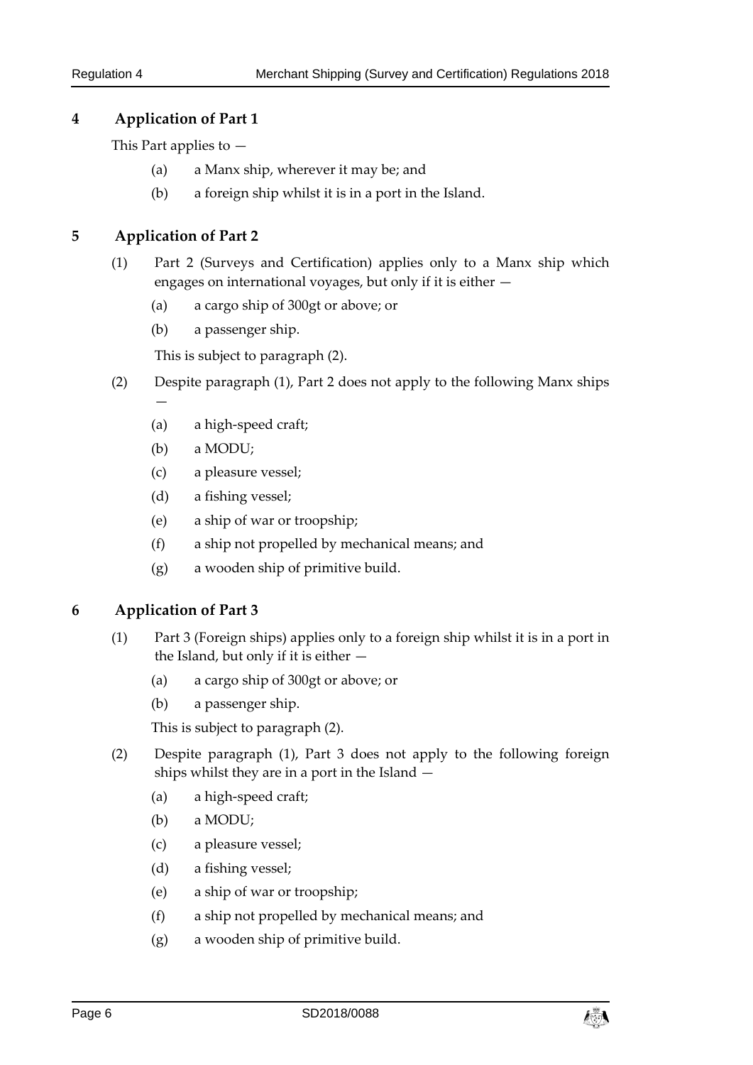## **4 Application of Part 1**

This Part applies to —

- (a) a Manx ship, wherever it may be; and
- (b) a foreign ship whilst it is in a port in the Island.

## **5 Application of Part 2**

—

- (1) Part 2 (Surveys and Certification) applies only to a Manx ship which engages on international voyages, but only if it is either —
	- (a) a cargo ship of 300gt or above; or
	- (b) a passenger ship.

This is subject to paragraph (2).

- (2) Despite paragraph (1), Part 2 does not apply to the following Manx ships
	- (a) a high-speed craft;
	- (b) a MODU;
	- (c) a pleasure vessel;
	- (d) a fishing vessel;
	- (e) a ship of war or troopship;
	- (f) a ship not propelled by mechanical means; and
	- (g) a wooden ship of primitive build.

### **6 Application of Part 3**

- (1) Part 3 (Foreign ships) applies only to a foreign ship whilst it is in a port in the Island, but only if it is either —
	- (a) a cargo ship of 300gt or above; or
	- (b) a passenger ship.

This is subject to paragraph (2).

- (2) Despite paragraph (1), Part 3 does not apply to the following foreign ships whilst they are in a port in the Island —
	- (a) a high-speed craft;
	- (b) a MODU;
	- (c) a pleasure vessel;
	- (d) a fishing vessel;
	- (e) a ship of war or troopship;
	- (f) a ship not propelled by mechanical means; and
	- (g) a wooden ship of primitive build.

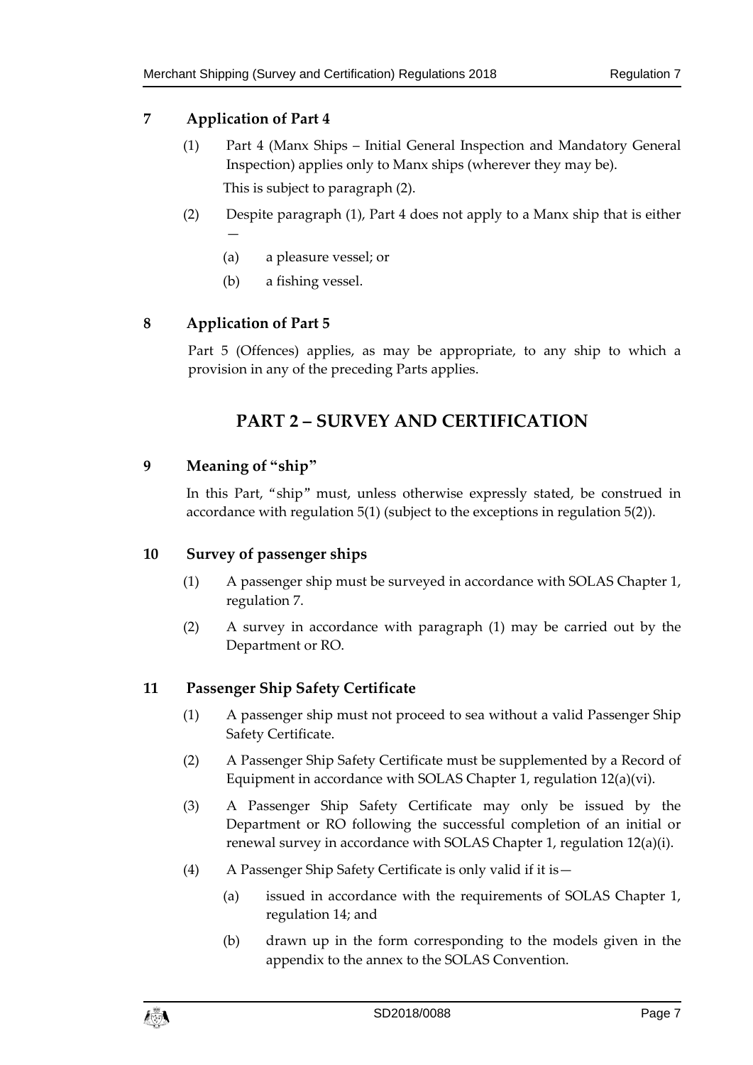## **7 Application of Part 4**

- (1) Part 4 (Manx Ships Initial General Inspection and Mandatory General Inspection) applies only to Manx ships (wherever they may be). This is subject to paragraph (2).
- (2) Despite paragraph (1), Part 4 does not apply to a Manx ship that is either —
	- (a) a pleasure vessel; or
	- (b) a fishing vessel.

## **8 Application of Part 5**

Part 5 (Offences) applies, as may be appropriate, to any ship to which a provision in any of the preceding Parts applies.

## **PART 2 – SURVEY AND CERTIFICATION**

## **9 Meaning of "ship"**

In this Part, "ship" must, unless otherwise expressly stated, be construed in accordance with regulation 5(1) (subject to the exceptions in regulation 5(2)).

### **10 Survey of passenger ships**

- (1) A passenger ship must be surveyed in accordance with SOLAS Chapter 1, regulation 7.
- (2) A survey in accordance with paragraph (1) may be carried out by the Department or RO.

## **11 Passenger Ship Safety Certificate**

- (1) A passenger ship must not proceed to sea without a valid Passenger Ship Safety Certificate.
- (2) A Passenger Ship Safety Certificate must be supplemented by a Record of Equipment in accordance with SOLAS Chapter 1, regulation 12(a)(vi).
- (3) A Passenger Ship Safety Certificate may only be issued by the Department or RO following the successful completion of an initial or renewal survey in accordance with SOLAS Chapter 1, regulation 12(a)(i).
- (4) A Passenger Ship Safety Certificate is only valid if it is—
	- (a) issued in accordance with the requirements of SOLAS Chapter 1, regulation 14; and
	- (b) drawn up in the form corresponding to the models given in the appendix to the annex to the SOLAS Convention.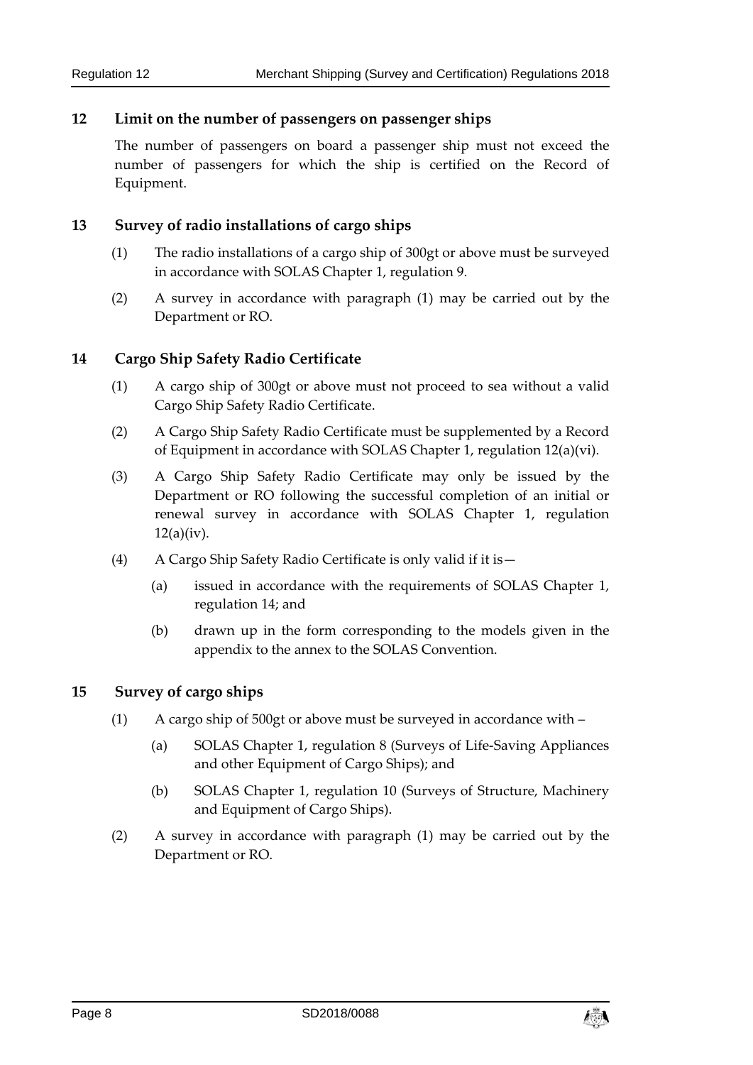#### **12 Limit on the number of passengers on passenger ships**

The number of passengers on board a passenger ship must not exceed the number of passengers for which the ship is certified on the Record of Equipment.

#### **13 Survey of radio installations of cargo ships**

- (1) The radio installations of a cargo ship of 300gt or above must be surveyed in accordance with SOLAS Chapter 1, regulation 9.
- (2) A survey in accordance with paragraph (1) may be carried out by the Department or RO.

### **14 Cargo Ship Safety Radio Certificate**

- (1) A cargo ship of 300gt or above must not proceed to sea without a valid Cargo Ship Safety Radio Certificate.
- (2) A Cargo Ship Safety Radio Certificate must be supplemented by a Record of Equipment in accordance with SOLAS Chapter 1, regulation 12(a)(vi).
- (3) A Cargo Ship Safety Radio Certificate may only be issued by the Department or RO following the successful completion of an initial or renewal survey in accordance with SOLAS Chapter 1, regulation  $12(a)(iv)$ .
- (4) A Cargo Ship Safety Radio Certificate is only valid if it is—
	- (a) issued in accordance with the requirements of SOLAS Chapter 1, regulation 14; and
	- (b) drawn up in the form corresponding to the models given in the appendix to the annex to the SOLAS Convention.

#### **15 Survey of cargo ships**

- (1) A cargo ship of 500gt or above must be surveyed in accordance with
	- (a) SOLAS Chapter 1, regulation 8 (Surveys of Life-Saving Appliances and other Equipment of Cargo Ships); and
	- (b) SOLAS Chapter 1, regulation 10 (Surveys of Structure, Machinery and Equipment of Cargo Ships).
- (2) A survey in accordance with paragraph (1) may be carried out by the Department or RO.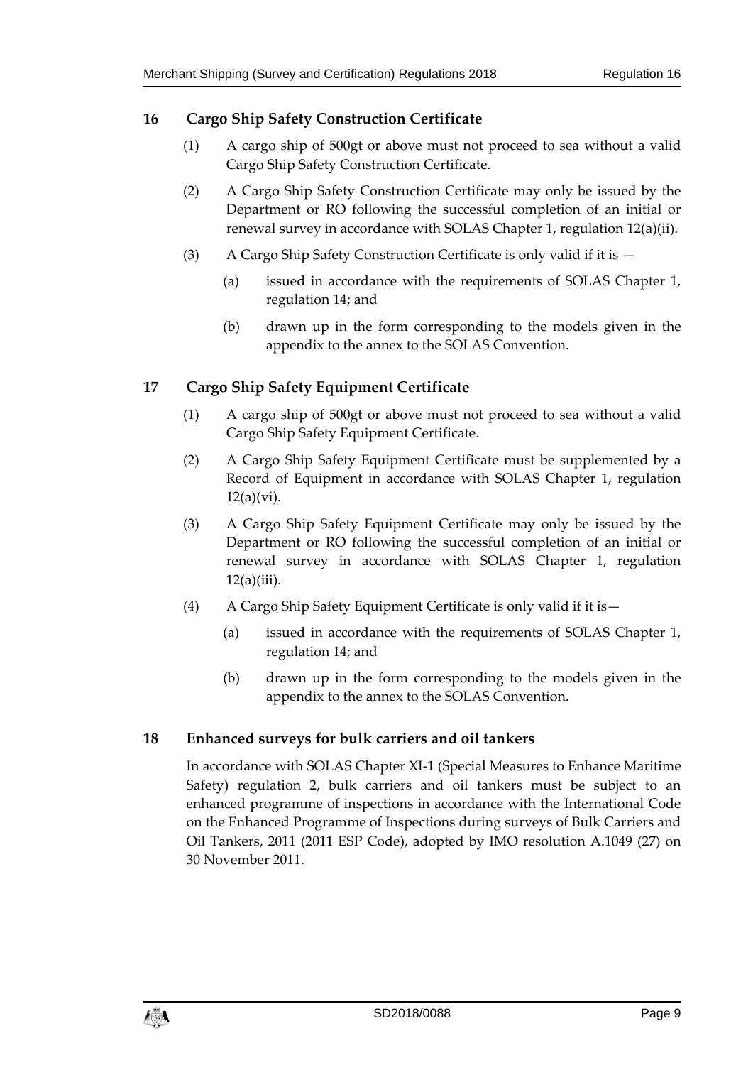## **16 Cargo Ship Safety Construction Certificate**

- (1) A cargo ship of 500gt or above must not proceed to sea without a valid Cargo Ship Safety Construction Certificate.
- (2) A Cargo Ship Safety Construction Certificate may only be issued by the Department or RO following the successful completion of an initial or renewal survey in accordance with SOLAS Chapter 1, regulation 12(a)(ii).
- (3) A Cargo Ship Safety Construction Certificate is only valid if it is
	- (a) issued in accordance with the requirements of SOLAS Chapter 1, regulation 14; and
	- (b) drawn up in the form corresponding to the models given in the appendix to the annex to the SOLAS Convention.

## **17 Cargo Ship Safety Equipment Certificate**

- (1) A cargo ship of 500gt or above must not proceed to sea without a valid Cargo Ship Safety Equipment Certificate.
- (2) A Cargo Ship Safety Equipment Certificate must be supplemented by a Record of Equipment in accordance with SOLAS Chapter 1, regulation  $12(a)(vi)$ .
- (3) A Cargo Ship Safety Equipment Certificate may only be issued by the Department or RO following the successful completion of an initial or renewal survey in accordance with SOLAS Chapter 1, regulation  $12(a)(iii)$ .
- (4) A Cargo Ship Safety Equipment Certificate is only valid if it is—
	- (a) issued in accordance with the requirements of SOLAS Chapter 1, regulation 14; and
	- (b) drawn up in the form corresponding to the models given in the appendix to the annex to the SOLAS Convention.

### **18 Enhanced surveys for bulk carriers and oil tankers**

In accordance with SOLAS Chapter XI-1 (Special Measures to Enhance Maritime Safety) regulation 2, bulk carriers and oil tankers must be subject to an enhanced programme of inspections in accordance with the International Code on the Enhanced Programme of Inspections during surveys of Bulk Carriers and Oil Tankers, 2011 (2011 ESP Code), adopted by IMO resolution A.1049 (27) on 30 November 2011.

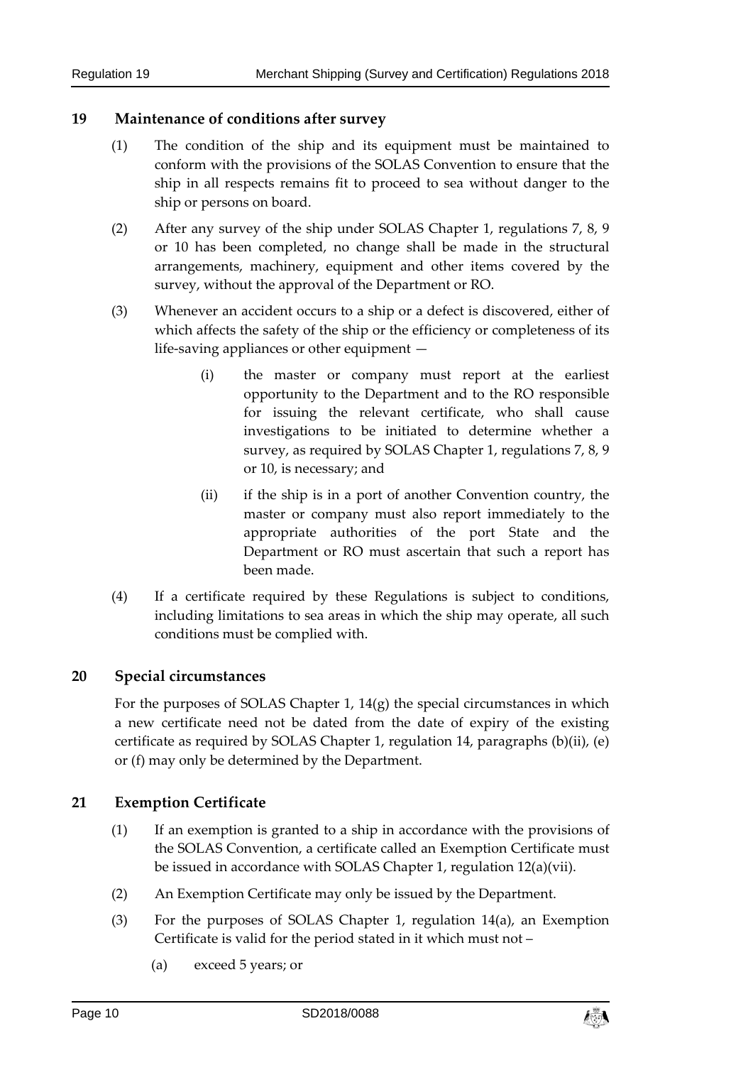#### **19 Maintenance of conditions after survey**

- (1) The condition of the ship and its equipment must be maintained to conform with the provisions of the SOLAS Convention to ensure that the ship in all respects remains fit to proceed to sea without danger to the ship or persons on board.
- (2) After any survey of the ship under SOLAS Chapter 1, regulations 7, 8, 9 or 10 has been completed, no change shall be made in the structural arrangements, machinery, equipment and other items covered by the survey, without the approval of the Department or RO.
- (3) Whenever an accident occurs to a ship or a defect is discovered, either of which affects the safety of the ship or the efficiency or completeness of its life-saving appliances or other equipment —
	- (i) the master or company must report at the earliest opportunity to the Department and to the RO responsible for issuing the relevant certificate, who shall cause investigations to be initiated to determine whether a survey, as required by SOLAS Chapter 1, regulations 7, 8, 9 or 10, is necessary; and
	- (ii) if the ship is in a port of another Convention country, the master or company must also report immediately to the appropriate authorities of the port State and the Department or RO must ascertain that such a report has been made.
- (4) If a certificate required by these Regulations is subject to conditions, including limitations to sea areas in which the ship may operate, all such conditions must be complied with.

## **20 Special circumstances**

For the purposes of SOLAS Chapter 1,  $14(g)$  the special circumstances in which a new certificate need not be dated from the date of expiry of the existing certificate as required by SOLAS Chapter 1, regulation 14, paragraphs (b)(ii), (e) or (f) may only be determined by the Department.

#### **21 Exemption Certificate**

- (1) If an exemption is granted to a ship in accordance with the provisions of the SOLAS Convention, a certificate called an Exemption Certificate must be issued in accordance with SOLAS Chapter 1, regulation 12(a)(vii).
- (2) An Exemption Certificate may only be issued by the Department.
- (3) For the purposes of SOLAS Chapter 1, regulation 14(a), an Exemption Certificate is valid for the period stated in it which must not –
	- (a) exceed 5 years; or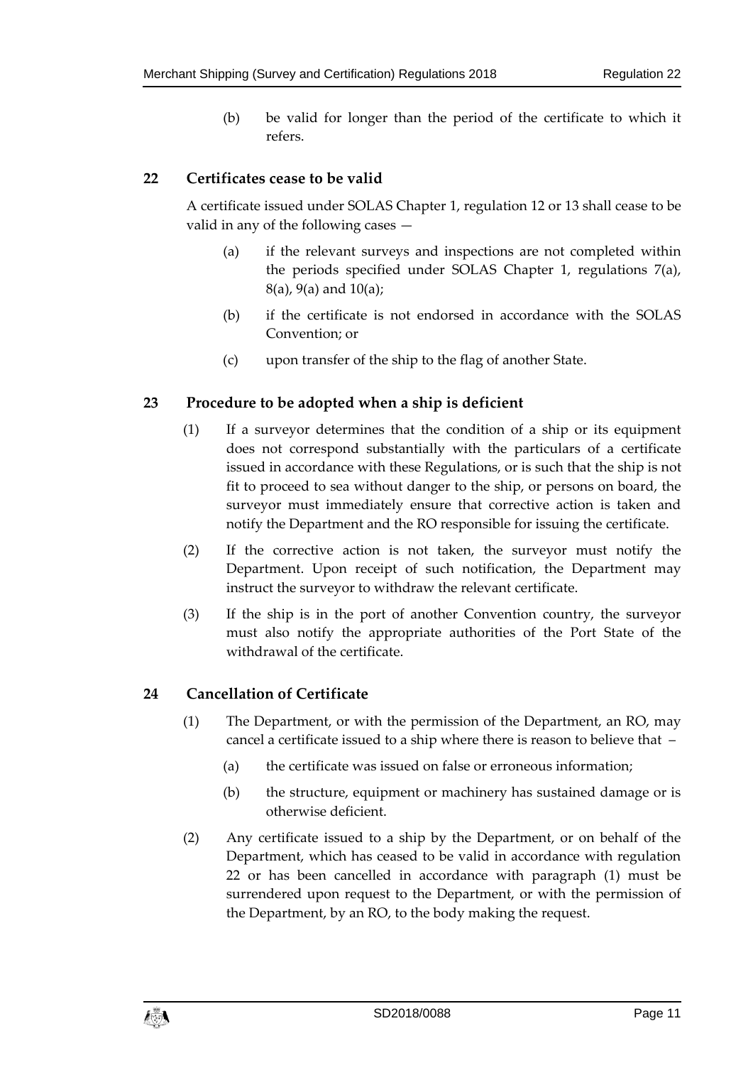(b) be valid for longer than the period of the certificate to which it refers.

## **22 Certificates cease to be valid**

A certificate issued under SOLAS Chapter 1, regulation 12 or 13 shall cease to be valid in any of the following cases —

- (a) if the relevant surveys and inspections are not completed within the periods specified under SOLAS Chapter 1, regulations 7(a), 8(a), 9(a) and 10(a);
- (b) if the certificate is not endorsed in accordance with the SOLAS Convention; or
- (c) upon transfer of the ship to the flag of another State.

### **23 Procedure to be adopted when a ship is deficient**

- (1) If a surveyor determines that the condition of a ship or its equipment does not correspond substantially with the particulars of a certificate issued in accordance with these Regulations, or is such that the ship is not fit to proceed to sea without danger to the ship, or persons on board, the surveyor must immediately ensure that corrective action is taken and notify the Department and the RO responsible for issuing the certificate.
- (2) If the corrective action is not taken, the surveyor must notify the Department. Upon receipt of such notification, the Department may instruct the surveyor to withdraw the relevant certificate.
- (3) If the ship is in the port of another Convention country, the surveyor must also notify the appropriate authorities of the Port State of the withdrawal of the certificate.

### **24 Cancellation of Certificate**

- (1) The Department, or with the permission of the Department, an RO, may cancel a certificate issued to a ship where there is reason to believe that –
	- (a) the certificate was issued on false or erroneous information;
	- (b) the structure, equipment or machinery has sustained damage or is otherwise deficient.
- (2) Any certificate issued to a ship by the Department, or on behalf of the Department, which has ceased to be valid in accordance with regulation 22 or has been cancelled in accordance with paragraph (1) must be surrendered upon request to the Department, or with the permission of the Department, by an RO, to the body making the request.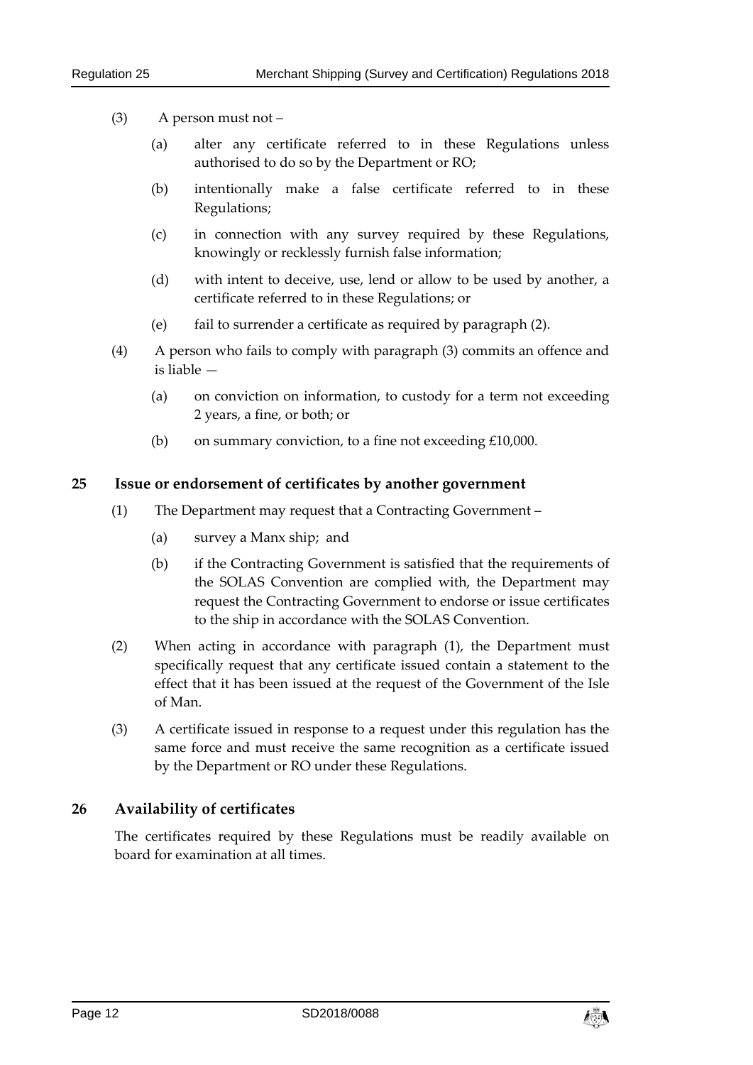- (3) A person must not
	- (a) alter any certificate referred to in these Regulations unless authorised to do so by the Department or RO;
	- (b) intentionally make a false certificate referred to in these Regulations;
	- (c) in connection with any survey required by these Regulations, knowingly or recklessly furnish false information;
	- (d) with intent to deceive, use, lend or allow to be used by another, a certificate referred to in these Regulations; or
	- (e) fail to surrender a certificate as required by paragraph (2).
- (4) A person who fails to comply with paragraph (3) commits an offence and is liable —
	- (a) on conviction on information, to custody for a term not exceeding 2 years, a fine, or both; or
	- (b) on summary conviction, to a fine not exceeding  $£10,000$ .

#### **25 Issue or endorsement of certificates by another government**

- (1) The Department may request that a Contracting Government
	- (a) survey a Manx ship; and
	- (b) if the Contracting Government is satisfied that the requirements of the SOLAS Convention are complied with, the Department may request the Contracting Government to endorse or issue certificates to the ship in accordance with the SOLAS Convention.
- (2) When acting in accordance with paragraph (1), the Department must specifically request that any certificate issued contain a statement to the effect that it has been issued at the request of the Government of the Isle of Man.
- (3) A certificate issued in response to a request under this regulation has the same force and must receive the same recognition as a certificate issued by the Department or RO under these Regulations.

### **26 Availability of certificates**

The certificates required by these Regulations must be readily available on board for examination at all times.

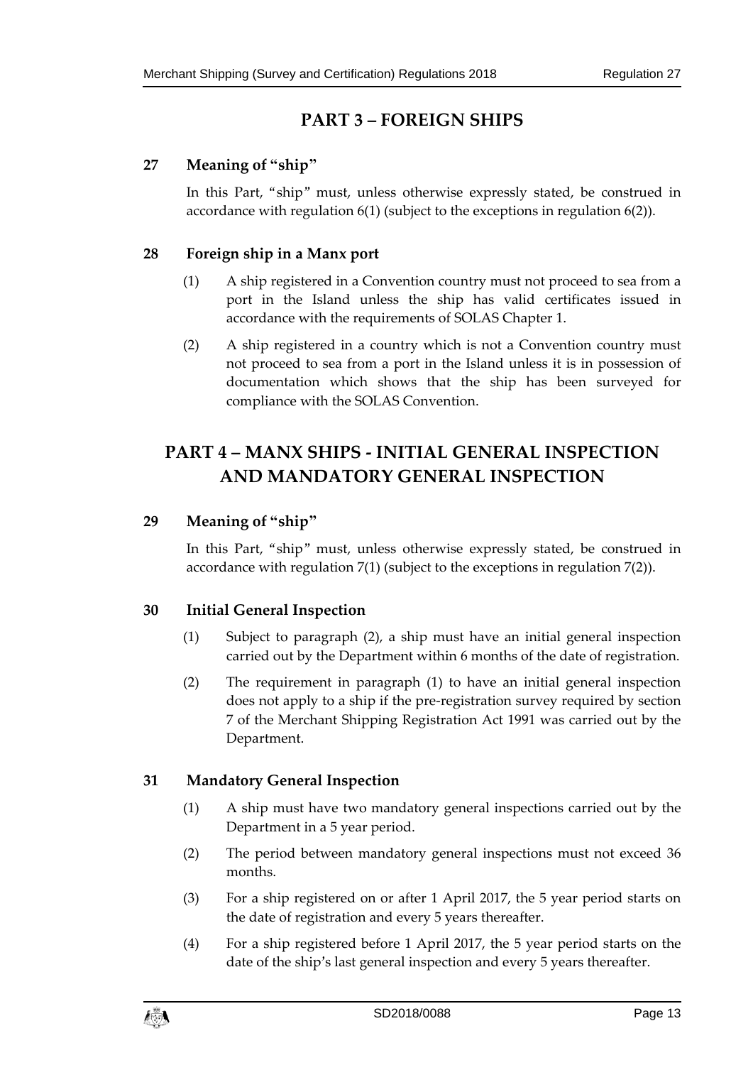## **PART 3 – FOREIGN SHIPS**

## **27 Meaning of "ship"**

In this Part, "ship" must, unless otherwise expressly stated, be construed in accordance with regulation 6(1) (subject to the exceptions in regulation 6(2)).

## **28 Foreign ship in a Manx port**

- (1) A ship registered in a Convention country must not proceed to sea from a port in the Island unless the ship has valid certificates issued in accordance with the requirements of SOLAS Chapter 1.
- (2) A ship registered in a country which is not a Convention country must not proceed to sea from a port in the Island unless it is in possession of documentation which shows that the ship has been surveyed for compliance with the SOLAS Convention.

## **PART 4 – MANX SHIPS - INITIAL GENERAL INSPECTION AND MANDATORY GENERAL INSPECTION**

## **29 Meaning of "ship"**

In this Part, "ship" must, unless otherwise expressly stated, be construed in accordance with regulation 7(1) (subject to the exceptions in regulation 7(2)).

## **30 Initial General Inspection**

- (1) Subject to paragraph (2), a ship must have an initial general inspection carried out by the Department within 6 months of the date of registration.
- (2) The requirement in paragraph (1) to have an initial general inspection does not apply to a ship if the pre-registration survey required by section 7 of the Merchant Shipping Registration Act 1991 was carried out by the Department.

## **31 Mandatory General Inspection**

- (1) A ship must have two mandatory general inspections carried out by the Department in a 5 year period.
- (2) The period between mandatory general inspections must not exceed 36 months.
- (3) For a ship registered on or after 1 April 2017, the 5 year period starts on the date of registration and every 5 years thereafter.
- (4) For a ship registered before 1 April 2017, the 5 year period starts on the date of the ship's last general inspection and every 5 years thereafter.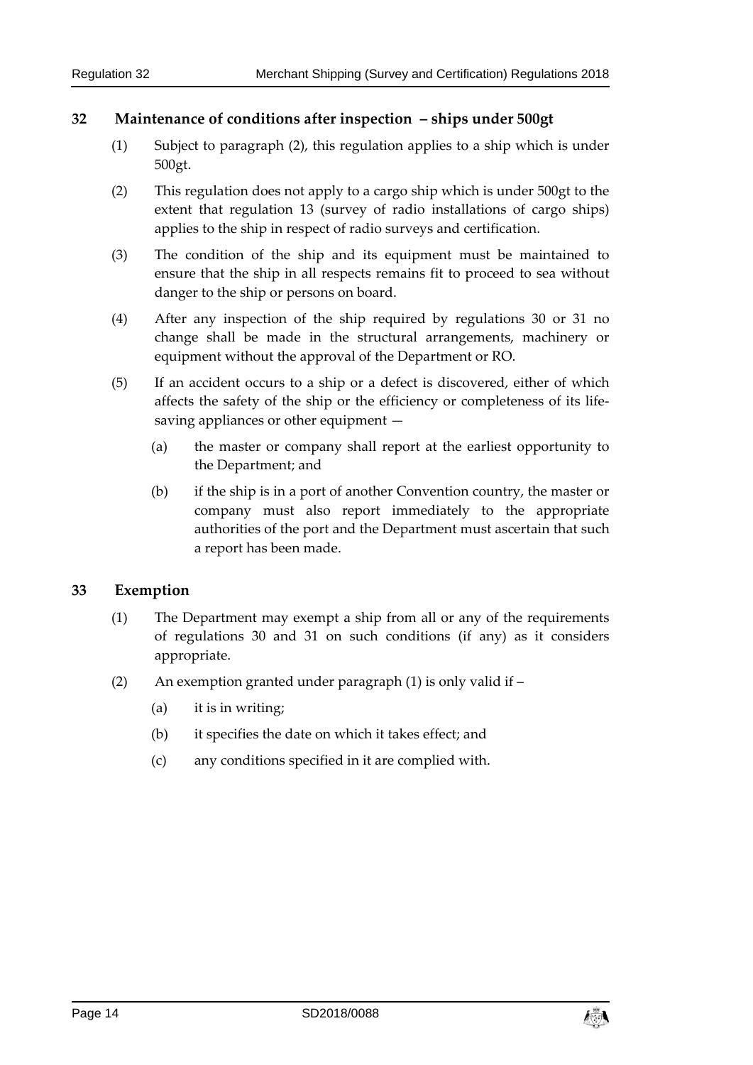#### **32 Maintenance of conditions after inspection – ships under 500gt**

- (1) Subject to paragraph (2), this regulation applies to a ship which is under 500gt.
- (2) This regulation does not apply to a cargo ship which is under 500gt to the extent that regulation 13 (survey of radio installations of cargo ships) applies to the ship in respect of radio surveys and certification.
- (3) The condition of the ship and its equipment must be maintained to ensure that the ship in all respects remains fit to proceed to sea without danger to the ship or persons on board.
- (4) After any inspection of the ship required by regulations 30 or 31 no change shall be made in the structural arrangements, machinery or equipment without the approval of the Department or RO.
- (5) If an accident occurs to a ship or a defect is discovered, either of which affects the safety of the ship or the efficiency or completeness of its lifesaving appliances or other equipment —
	- (a) the master or company shall report at the earliest opportunity to the Department; and
	- (b) if the ship is in a port of another Convention country, the master or company must also report immediately to the appropriate authorities of the port and the Department must ascertain that such a report has been made.

#### **33 Exemption**

- (1) The Department may exempt a ship from all or any of the requirements of regulations 30 and 31 on such conditions (if any) as it considers appropriate.
- (2) An exemption granted under paragraph (1) is only valid if  $-$ 
	- (a) it is in writing;
	- (b) it specifies the date on which it takes effect; and
	- (c) any conditions specified in it are complied with.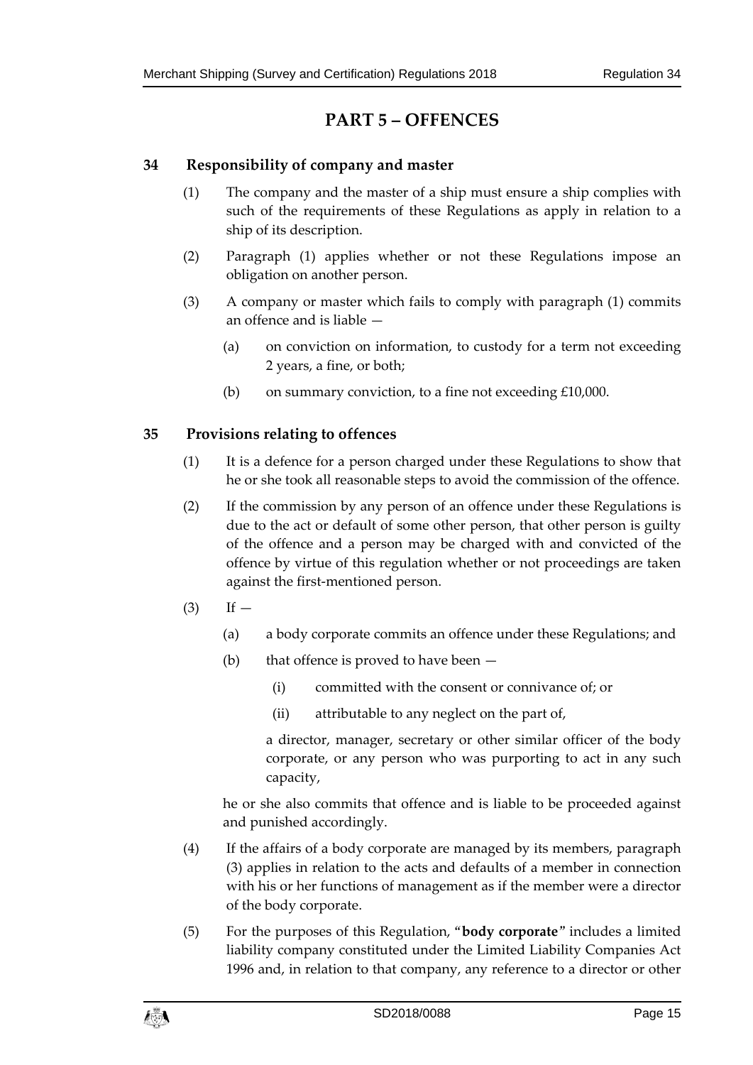## **PART 5 – OFFENCES**

## **34 Responsibility of company and master**

- (1) The company and the master of a ship must ensure a ship complies with such of the requirements of these Regulations as apply in relation to a ship of its description.
- (2) Paragraph (1) applies whether or not these Regulations impose an obligation on another person.
- (3) A company or master which fails to comply with paragraph (1) commits an offence and is liable —
	- (a) on conviction on information, to custody for a term not exceeding 2 years, a fine, or both;
	- (b) on summary conviction, to a fine not exceeding £10,000.

## **35 Provisions relating to offences**

- (1) It is a defence for a person charged under these Regulations to show that he or she took all reasonable steps to avoid the commission of the offence.
- (2) If the commission by any person of an offence under these Regulations is due to the act or default of some other person, that other person is guilty of the offence and a person may be charged with and convicted of the offence by virtue of this regulation whether or not proceedings are taken against the first-mentioned person.
- $(3)$  If
	- (a) a body corporate commits an offence under these Regulations; and
	- (b) that offence is proved to have been  $-$ 
		- (i) committed with the consent or connivance of; or
		- (ii) attributable to any neglect on the part of,

a director, manager, secretary or other similar officer of the body corporate, or any person who was purporting to act in any such capacity,

he or she also commits that offence and is liable to be proceeded against and punished accordingly.

- (4) If the affairs of a body corporate are managed by its members, paragraph (3) applies in relation to the acts and defaults of a member in connection with his or her functions of management as if the member were a director of the body corporate.
- (5) For the purposes of this Regulation, "**body corporate**" includes a limited liability company constituted under the Limited Liability Companies Act 1996 and, in relation to that company, any reference to a director or other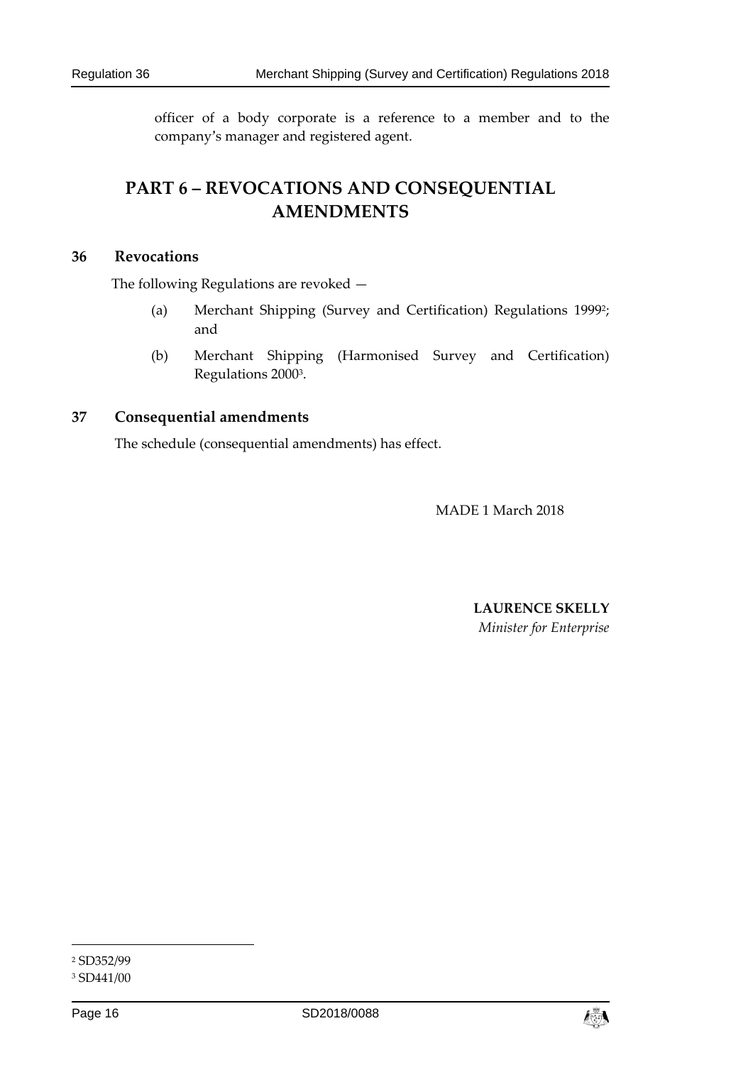officer of a body corporate is a reference to a member and to the company's manager and registered agent.

## **PART 6 – REVOCATIONS AND CONSEQUENTIAL AMENDMENTS**

#### **36 Revocations**

The following Regulations are revoked —

- (a) Merchant Shipping (Survey and Certification) Regulations 19992; and
- (b) Merchant Shipping (Harmonised Survey and Certification) Regulations 20003.

#### **37 Consequential amendments**

The schedule (consequential amendments) has effect.

MADE 1 March 2018

**LAURENCE SKELLY**  *Minister for Enterprise* 

<sup>2</sup> SD352/99

<sup>3</sup> SD441/00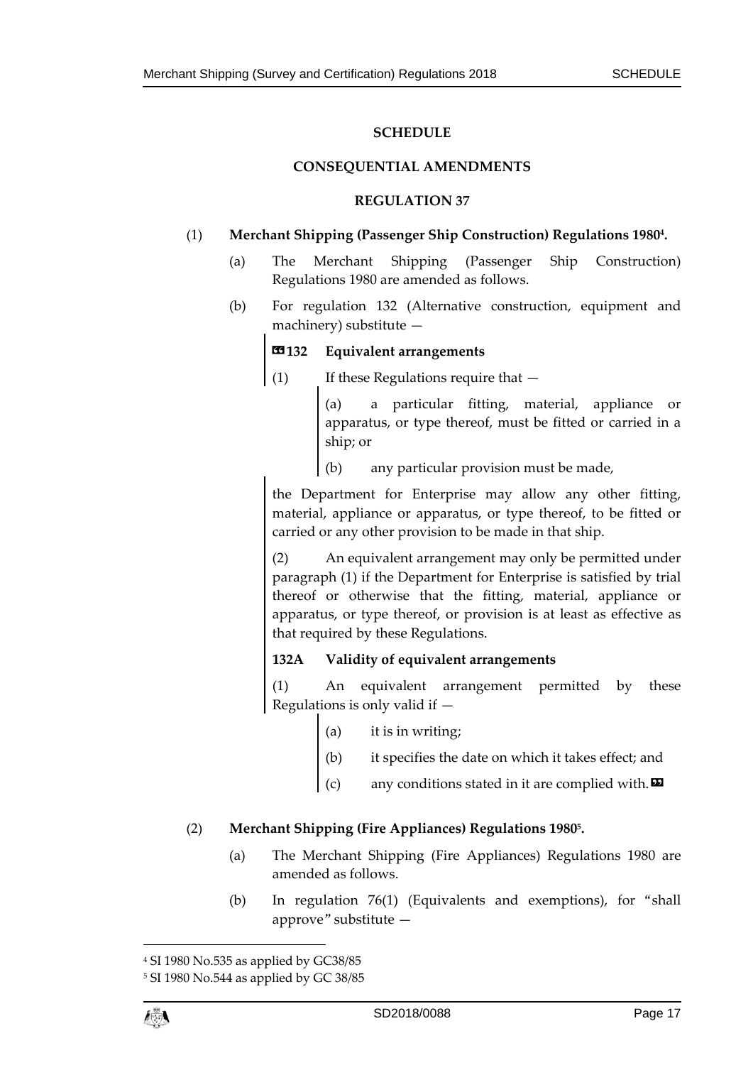#### **SCHEDULE**

#### **CONSEQUENTIAL AMENDMENTS**

#### **REGULATION 37**

#### (1) **Merchant Shipping (Passenger Ship Construction) Regulations 19804.**

- (a) The Merchant Shipping (Passenger Ship Construction) Regulations 1980 are amended as follows.
- (b) For regulation 132 (Alternative construction, equipment and machinery) substitute —

#### **132** Equivalent arrangements

(1) If these Regulations require that —

(a) a particular fitting, material, appliance or apparatus, or type thereof, must be fitted or carried in a ship; or

(b) any particular provision must be made,

the Department for Enterprise may allow any other fitting, material, appliance or apparatus, or type thereof, to be fitted or carried or any other provision to be made in that ship.

(2) An equivalent arrangement may only be permitted under paragraph (1) if the Department for Enterprise is satisfied by trial thereof or otherwise that the fitting, material, appliance or apparatus, or type thereof, or provision is at least as effective as that required by these Regulations.

#### **132A Validity of equivalent arrangements**

(1) An equivalent arrangement permitted by these Regulations is only valid if  $-$ 

- (a) it is in writing;
- (b) it specifies the date on which it takes effect; and
- any conditions stated in it are complied with. $\boldsymbol{\Sigma}$

#### (2) **Merchant Shipping (Fire Appliances) Regulations 19805.**

- (a) The Merchant Shipping (Fire Appliances) Regulations 1980 are amended as follows.
- (b) In regulation 76(1) (Equivalents and exemptions), for "shall approve" substitute —

<sup>4</sup> SI 1980 No.535 as applied by GC38/85

<sup>5</sup> SI 1980 No.544 as applied by GC 38/85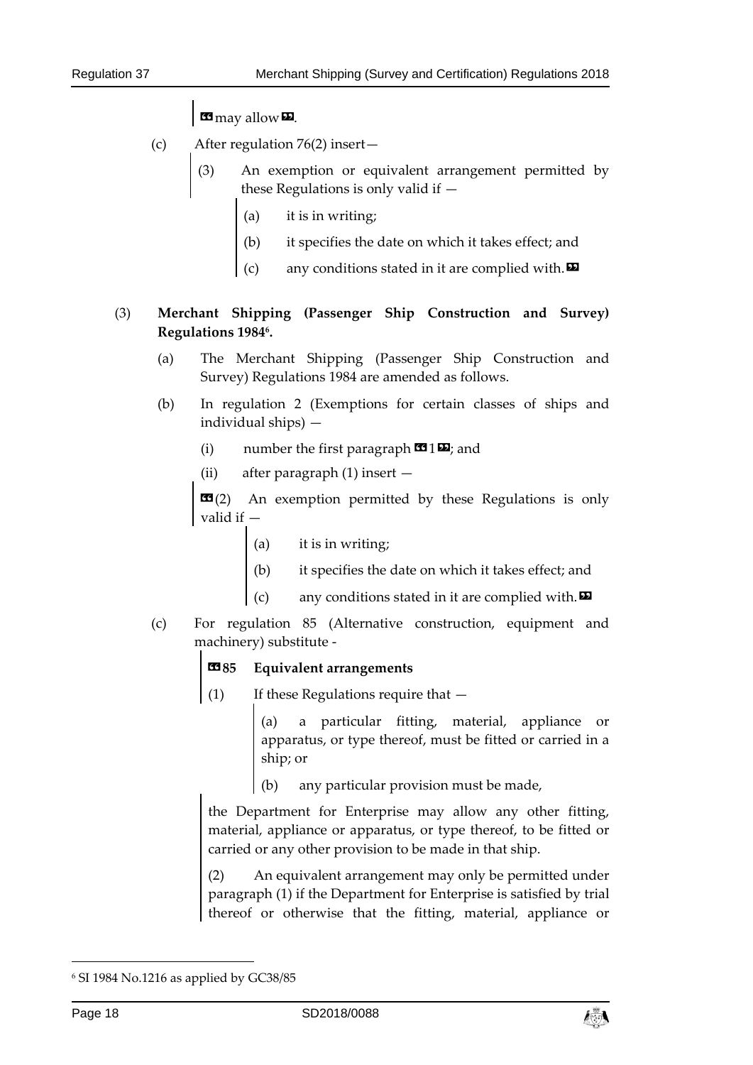**B** may allow **D**.

- (c) After regulation 76(2) insert—
	- (3) An exemption or equivalent arrangement permitted by these Regulations is only valid if —
		- (a) it is in writing;
		- (b) it specifies the date on which it takes effect; and
		- any conditions stated in it are complied with. $\boldsymbol{\mathsf{\Xi}}$

## (3) **Merchant Shipping (Passenger Ship Construction and Survey) Regulations 19846.**

- (a) The Merchant Shipping (Passenger Ship Construction and Survey) Regulations 1984 are amended as follows.
- (b) In regulation 2 (Exemptions for certain classes of ships and individual ships) —
	- (i) number the first paragraph  $\mathbf{C}$  1 $\mathbf{E}$ ; and
	- (ii) after paragraph (1) insert —

 $\mathbf{G}(2)$  An exemption permitted by these Regulations is only valid if —

- (a) it is in writing;
- (b) it specifies the date on which it takes effect; and
- any conditions stated in it are complied with. $\boldsymbol{\mathsf{E}}$
- (c) For regulation 85 (Alternative construction, equipment and machinery) substitute -

## **83**85 Equivalent arrangements

(1) If these Regulations require that —

(a) a particular fitting, material, appliance or apparatus, or type thereof, must be fitted or carried in a ship; or

any particular provision must be made,

the Department for Enterprise may allow any other fitting, material, appliance or apparatus, or type thereof, to be fitted or carried or any other provision to be made in that ship.

(2) An equivalent arrangement may only be permitted under paragraph (1) if the Department for Enterprise is satisfied by trial thereof or otherwise that the fitting, material, appliance or



<sup>6</sup> SI 1984 No.1216 as applied by GC38/85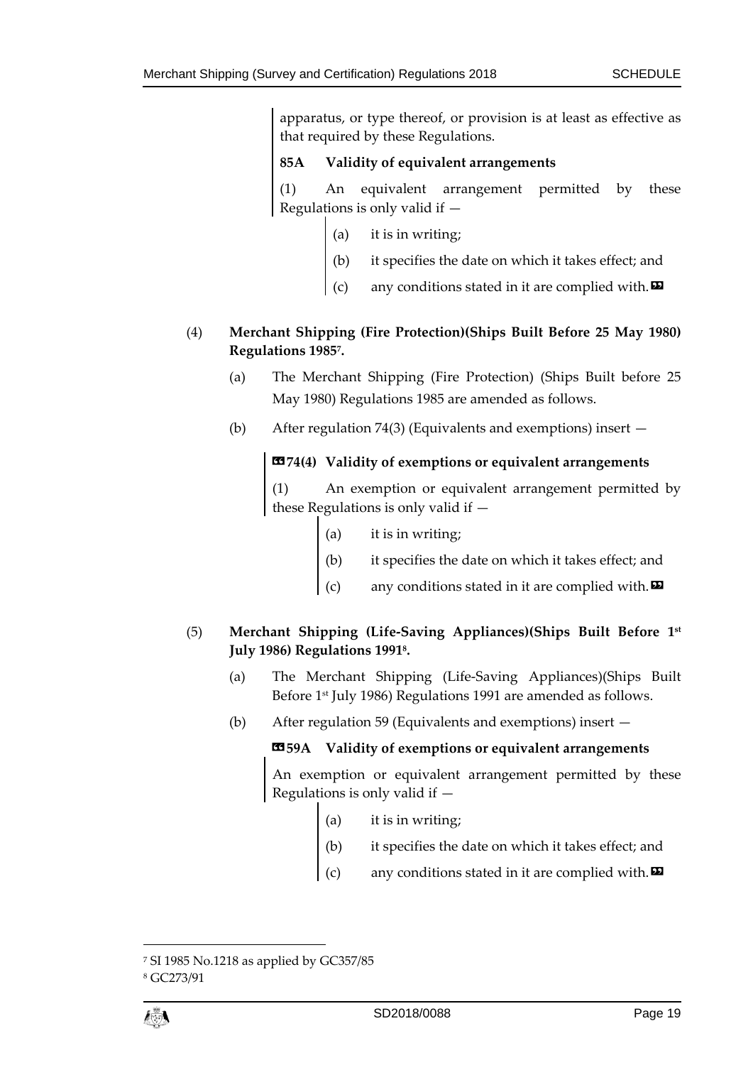apparatus, or type thereof, or provision is at least as effective as that required by these Regulations.

## **85A Validity of equivalent arrangements**

(1) An equivalent arrangement permitted by these Regulations is only valid if  $-$ 

- (a) it is in writing;
- (b) it specifies the date on which it takes effect; and
- (c) any conditions stated in it are complied with.  $\boldsymbol{\Xi}$

## (4) **Merchant Shipping (Fire Protection)(Ships Built Before 25 May 1980) Regulations 19857.**

- (a) The Merchant Shipping (Fire Protection) (Ships Built before 25 May 1980) Regulations 1985 are amended as follows.
- (b) After regulation 74(3) (Equivalents and exemptions) insert —

#### **«74(4) Validity of exemptions or equivalent arrangements**

(1) An exemption or equivalent arrangement permitted by these Regulations is only valid if —

- (a) it is in writing;
- (b) it specifies the date on which it takes effect; and
- any conditions stated in it are complied with.  $\blacksquare$

### (5) **Merchant Shipping (Life-Saving Appliances)(Ships Built Before 1st July 1986) Regulations 19918.**

- (a) The Merchant Shipping (Life-Saving Appliances)(Ships Built Before 1<sup>st</sup> July 1986) Regulations 1991 are amended as follows.
- (b) After regulation 59 (Equivalents and exemptions) insert —

#### **«59A Validity of exemptions or equivalent arrangements**

An exemption or equivalent arrangement permitted by these Regulations is only valid if  $-$ 

- (a) it is in writing;
- (b) it specifies the date on which it takes effect; and
- any conditions stated in it are complied with. $\boldsymbol{\Sigma}$

<sup>7</sup> SI 1985 No.1218 as applied by GC357/85

<sup>8</sup> GC273/91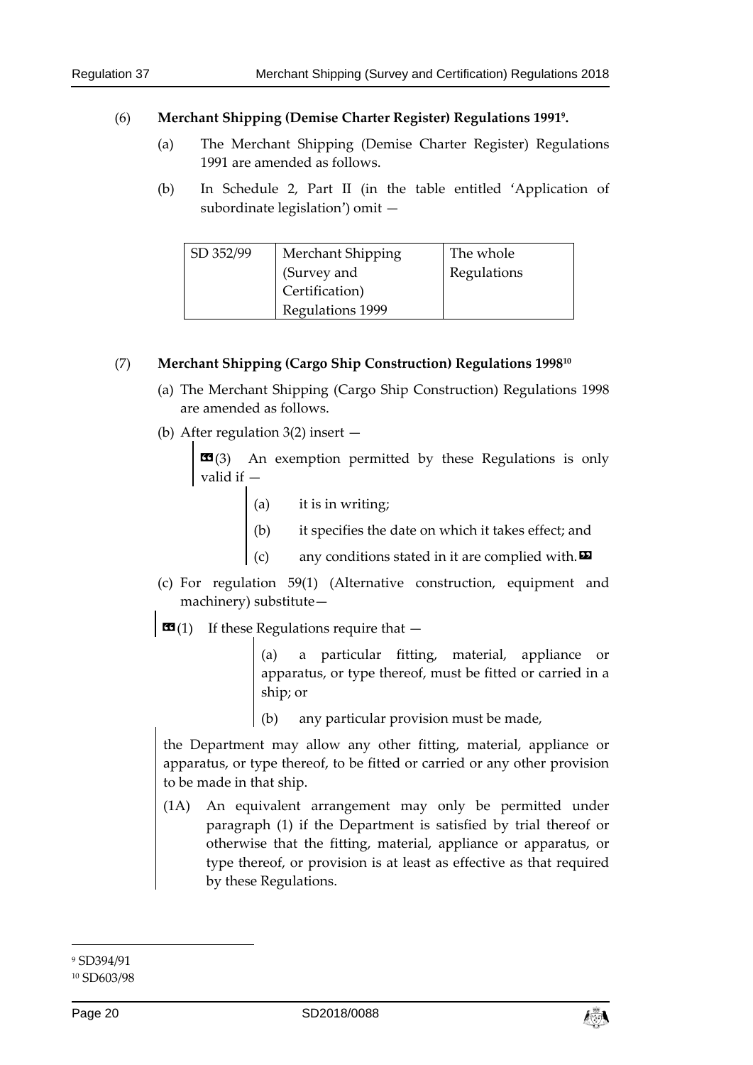#### (6) **Merchant Shipping (Demise Charter Register) Regulations 19919.**

- (a) The Merchant Shipping (Demise Charter Register) Regulations 1991 are amended as follows.
- (b) In Schedule 2, Part II (in the table entitled 'Application of subordinate legislation') omit —

| SD 352/99 | Merchant Shipping | The whole   |
|-----------|-------------------|-------------|
|           | (Survey and       | Regulations |
|           | Certification)    |             |
|           | Regulations 1999  |             |

#### (7) **Merchant Shipping (Cargo Ship Construction) Regulations 199810**

- (a) The Merchant Shipping (Cargo Ship Construction) Regulations 1998 are amended as follows.
- (b) After regulation 3(2) insert —

 $\mathbf{G}(3)$  An exemption permitted by these Regulations is only valid if —

- (a) it is in writing;
- (b) it specifies the date on which it takes effect; and
- any conditions stated in it are complied with. $\boldsymbol{\Xi}$
- (c) For regulation 59(1) (Alternative construction, equipment and machinery) substitute—
- $\mathbf{G}(1)$  If these Regulations require that  $-$

(a) a particular fitting, material, appliance or apparatus, or type thereof, must be fitted or carried in a ship; or

any particular provision must be made,

the Department may allow any other fitting, material, appliance or apparatus, or type thereof, to be fitted or carried or any other provision to be made in that ship.

(1A) An equivalent arrangement may only be permitted under paragraph (1) if the Department is satisfied by trial thereof or otherwise that the fitting, material, appliance or apparatus, or type thereof, or provision is at least as effective as that required by these Regulations.



 $\overline{a}$ 9 SD394/91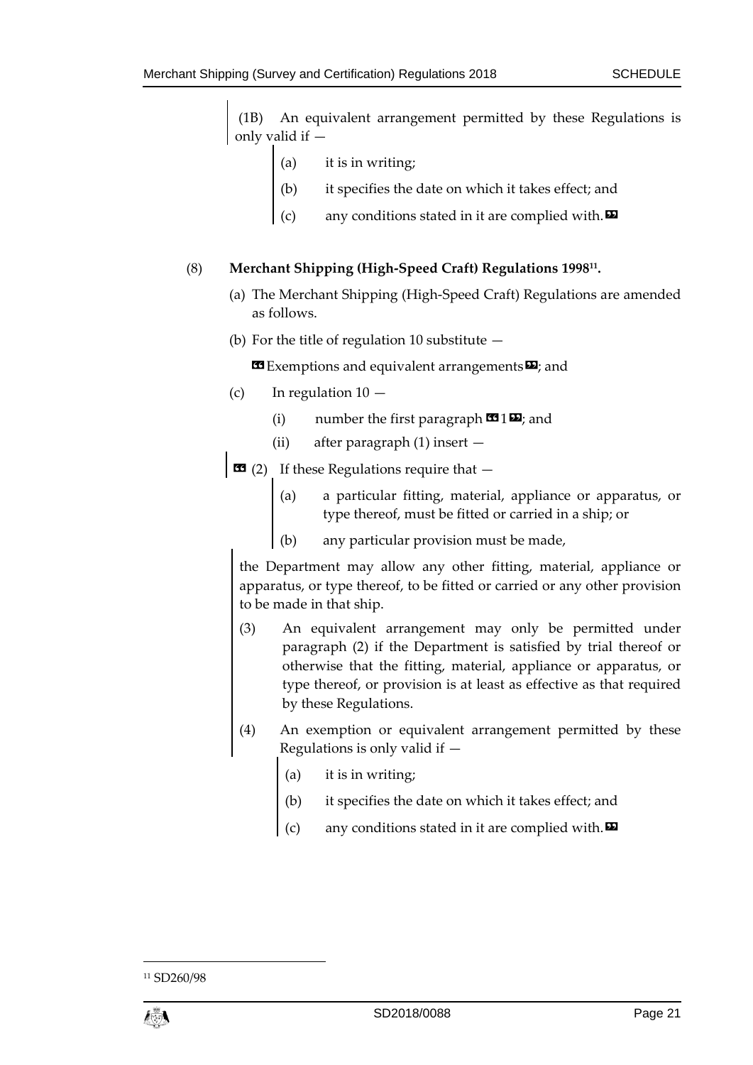(1B) An equivalent arrangement permitted by these Regulations is only valid if —

- (a) it is in writing;
- (b) it specifies the date on which it takes effect; and
- any conditions stated in it are complied with. $\boldsymbol{\Sigma}$

#### (8) **Merchant Shipping (High-Speed Craft) Regulations 199811.**

- (a) The Merchant Shipping (High-Speed Craft) Regulations are amended as follows.
- (b) For the title of regulation 10 substitute  $-$

**Exemptions and equivalent arrangements E**; and

- (c) In regulation  $10 -$ 
	- (i) number the first paragraph  $\mathbf{C}$  1 $\mathbf{D}$ ; and
	- (ii) after paragraph (1) insert —

 $\overline{\bullet}$  (2) If these Regulations require that  $-$ 

- (a) a particular fitting, material, appliance or apparatus, or type thereof, must be fitted or carried in a ship; or
- (b) any particular provision must be made,

the Department may allow any other fitting, material, appliance or apparatus, or type thereof, to be fitted or carried or any other provision to be made in that ship.

- (3) An equivalent arrangement may only be permitted under paragraph (2) if the Department is satisfied by trial thereof or otherwise that the fitting, material, appliance or apparatus, or type thereof, or provision is at least as effective as that required by these Regulations.
- (4) An exemption or equivalent arrangement permitted by these Regulations is only valid if —
	- (a) it is in writing;
	- it specifies the date on which it takes effect; and
	- (c) any conditions stated in it are complied with.  $\boldsymbol{\Sigma}$

<sup>11</sup> SD260/98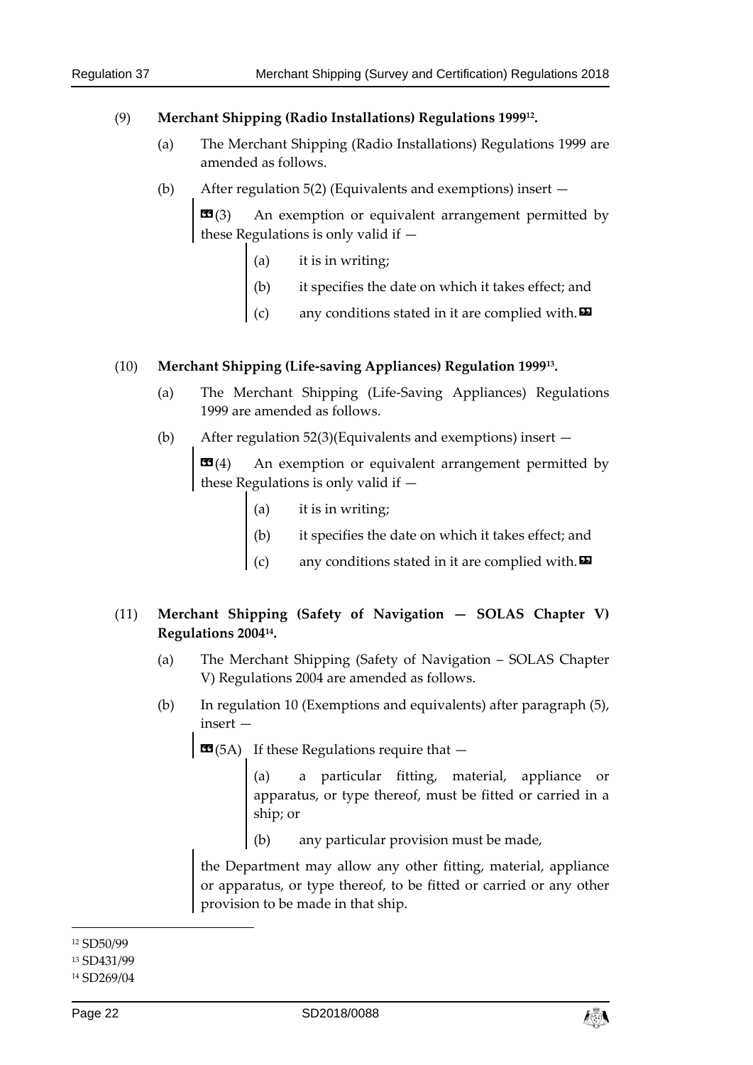#### (9) **Merchant Shipping (Radio Installations) Regulations 199912.**

- (a) The Merchant Shipping (Radio Installations) Regulations 1999 are amended as follows.
- (b) After regulation 5(2) (Equivalents and exemptions) insert —

**«**(3) An exemption or equivalent arrangement permitted by these Regulations is only valid if —

- (a) it is in writing;
- (b) it specifies the date on which it takes effect; and
- (c) any conditions stated in it are complied with.  $\boldsymbol{\Xi}$

#### (10) **Merchant Shipping (Life-saving Appliances) Regulation 199913.**

- (a) The Merchant Shipping (Life-Saving Appliances) Regulations 1999 are amended as follows.
- (b) After regulation 52(3)(Equivalents and exemptions) insert —

**«**(4) An exemption or equivalent arrangement permitted by these Regulations is only valid if —

- (a) it is in writing;
- (b) it specifies the date on which it takes effect; and
- (c) any conditions stated in it are complied with.  $\boldsymbol{\Xi}$

### (11) **Merchant Shipping (Safety of Navigation — SOLAS Chapter V) Regulations 200414.**

- (a) The Merchant Shipping (Safety of Navigation SOLAS Chapter V) Regulations 2004 are amended as follows.
- (b) In regulation 10 (Exemptions and equivalents) after paragraph (5), insert —

 $\text{C3}(5A)$  If these Regulations require that  $-$ 

(a) a particular fitting, material, appliance or apparatus, or type thereof, must be fitted or carried in a ship; or

(b) any particular provision must be made,

the Department may allow any other fitting, material, appliance or apparatus, or type thereof, to be fitted or carried or any other provision to be made in that ship.

 $\overline{a}$ 

#### 13 SD431/99



<sup>12</sup> SD50/99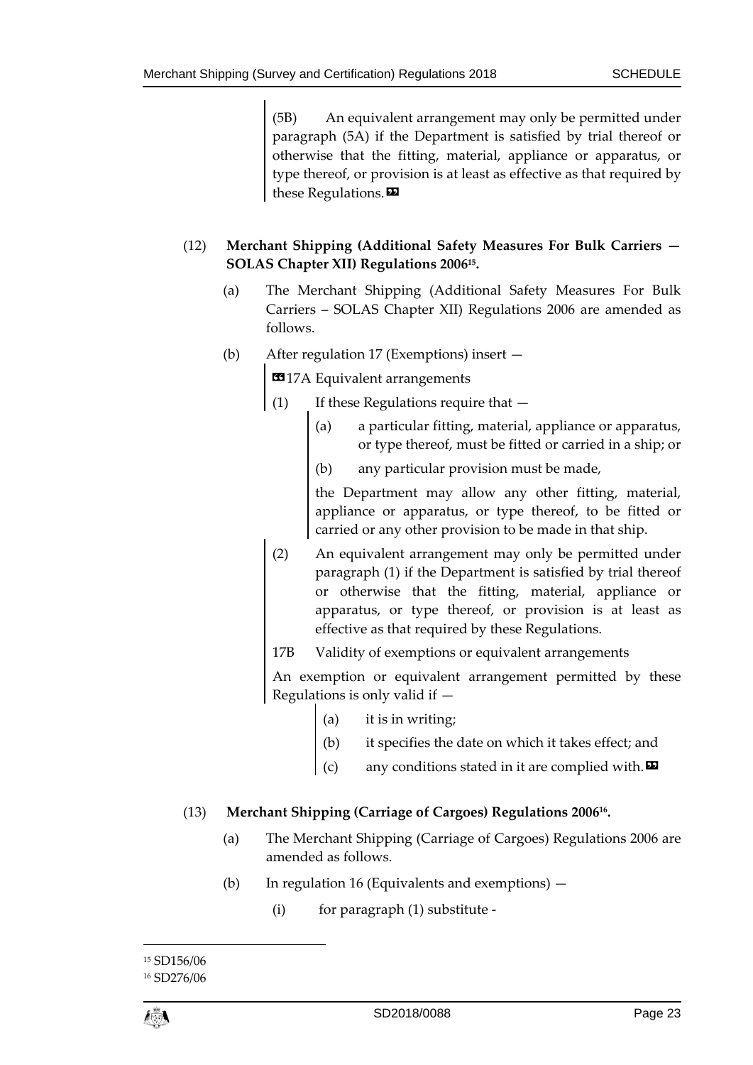(5B) An equivalent arrangement may only be permitted under paragraph (5A) if the Department is satisfied by trial thereof or otherwise that the fitting, material, appliance or apparatus, or type thereof, or provision is at least as effective as that required by these Regulations.

## (12) **Merchant Shipping (Additional Safety Measures For Bulk Carriers — SOLAS Chapter XII) Regulations 200615.**

- (a) The Merchant Shipping (Additional Safety Measures For Bulk Carriers – SOLAS Chapter XII) Regulations 2006 are amended as follows.
- (b) After regulation 17 (Exemptions) insert —

**EG** 17A Equivalent arrangements

- (1) If these Regulations require that
	- (a) a particular fitting, material, appliance or apparatus, or type thereof, must be fitted or carried in a ship; or
	- (b) any particular provision must be made,

the Department may allow any other fitting, material, appliance or apparatus, or type thereof, to be fitted or carried or any other provision to be made in that ship.

(2) An equivalent arrangement may only be permitted under paragraph (1) if the Department is satisfied by trial thereof or otherwise that the fitting, material, appliance or apparatus, or type thereof, or provision is at least as effective as that required by these Regulations.

17B Validity of exemptions or equivalent arrangements

An exemption or equivalent arrangement permitted by these Regulations is only valid if —

- (a) it is in writing;
- it specifies the date on which it takes effect; and
- any conditions stated in it are complied with. $\boldsymbol{\mathsf{E}}$

### (13) **Merchant Shipping (Carriage of Cargoes) Regulations 200616.**

- (a) The Merchant Shipping (Carriage of Cargoes) Regulations 2006 are amended as follows.
- (b) In regulation 16 (Equivalents and exemptions)
	- (i) for paragraph (1) substitute -

<sup>15</sup> SD156/06

<sup>16</sup> SD276/06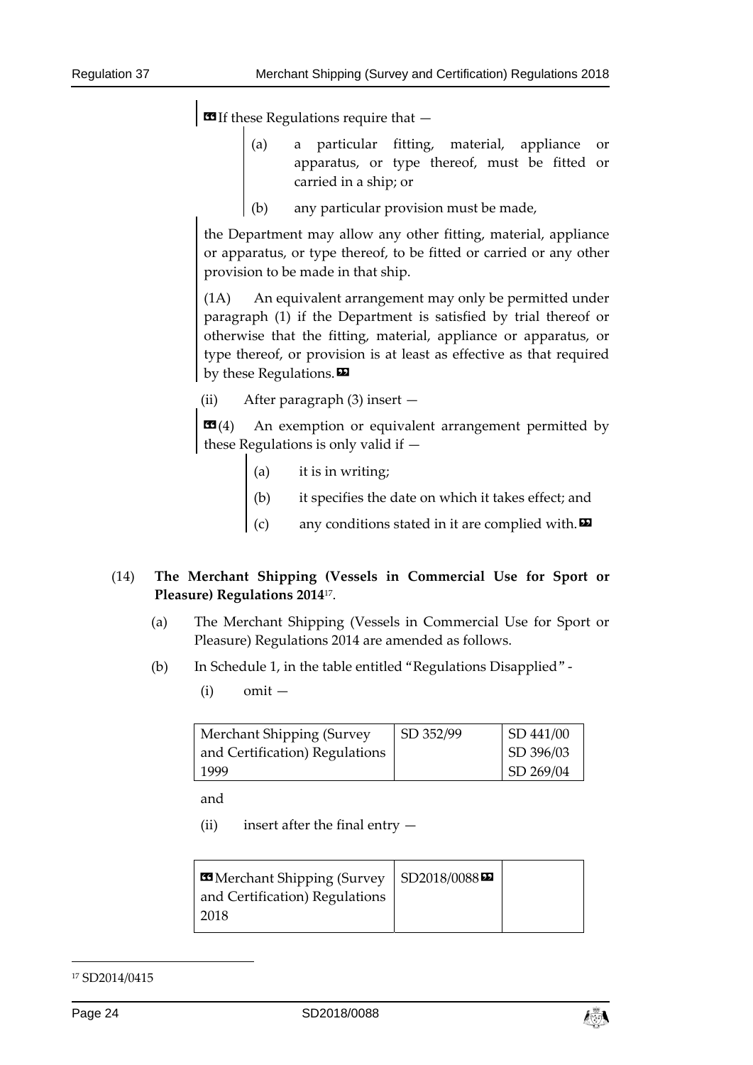$\blacksquare$  If these Regulations require that  $-$ 

- (a) a particular fitting, material, appliance or apparatus, or type thereof, must be fitted or carried in a ship; or
- (b) any particular provision must be made,

the Department may allow any other fitting, material, appliance or apparatus, or type thereof, to be fitted or carried or any other provision to be made in that ship.

(1A) An equivalent arrangement may only be permitted under paragraph (1) if the Department is satisfied by trial thereof or otherwise that the fitting, material, appliance or apparatus, or type thereof, or provision is at least as effective as that required by these Regulations.

(ii) After paragraph (3) insert —

**EE**(4) An exemption or equivalent arrangement permitted by these Regulations is only valid if —

- (a) it is in writing;
- it specifies the date on which it takes effect; and
- any conditions stated in it are complied with. $\boldsymbol{\Sigma}$

### (14) **The Merchant Shipping (Vessels in Commercial Use for Sport or Pleasure) Regulations 2014**17.

- (a) The Merchant Shipping (Vessels in Commercial Use for Sport or Pleasure) Regulations 2014 are amended as follows.
- (b) In Schedule 1, in the table entitled "Regulations Disapplied"
	- $(i)$  omit —

| Merchant Shipping (Survey      | SD 352/99 | $\big $ SD 441/00 |
|--------------------------------|-----------|-------------------|
| and Certification) Regulations |           | SD 396/03         |
| 1999                           |           | SD 269/04         |

and

(ii) insert after the final entry  $-$ 

| Merchant Shipping (Survey   SD2018/0088 |
|-----------------------------------------|

#### 17 SD2014/0415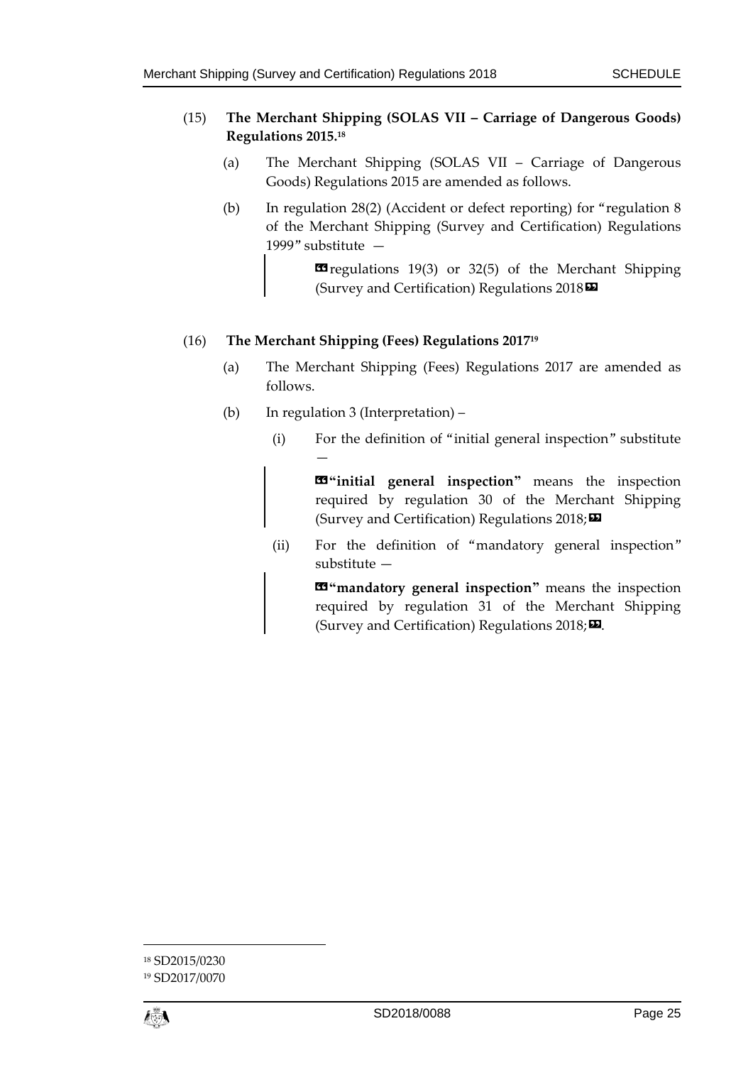### (15) **The Merchant Shipping (SOLAS VII – Carriage of Dangerous Goods) Regulations 2015.18**

- (a) The Merchant Shipping (SOLAS VII Carriage of Dangerous Goods) Regulations 2015 are amended as follows.
- (b) In regulation 28(2) (Accident or defect reporting) for "regulation 8 of the Merchant Shipping (Survey and Certification) Regulations 1999" substitute —

Energulations 19(3) or 32(5) of the Merchant Shipping (Survey and Certification) Regulations 2018»

### (16) **The Merchant Shipping (Fees) Regulations 201719**

- (a) The Merchant Shipping (Fees) Regulations 2017 are amended as follows.
- (b) In regulation 3 (Interpretation) –

—

(i) For the definition of "initial general inspection" substitute

 «**"initial general inspection"** means the inspection required by regulation 30 of the Merchant Shipping (Survey and Certification) Regulations  $2018;$ 

(ii) For the definition of "mandatory general inspection" substitute —

> $\mathbf{F}$  "mandatory general inspection" means the inspection required by regulation 31 of the Merchant Shipping (Survey and Certification) Regulations  $2018;$

<sup>18</sup> SD2015/0230

<sup>19</sup> SD2017/0070